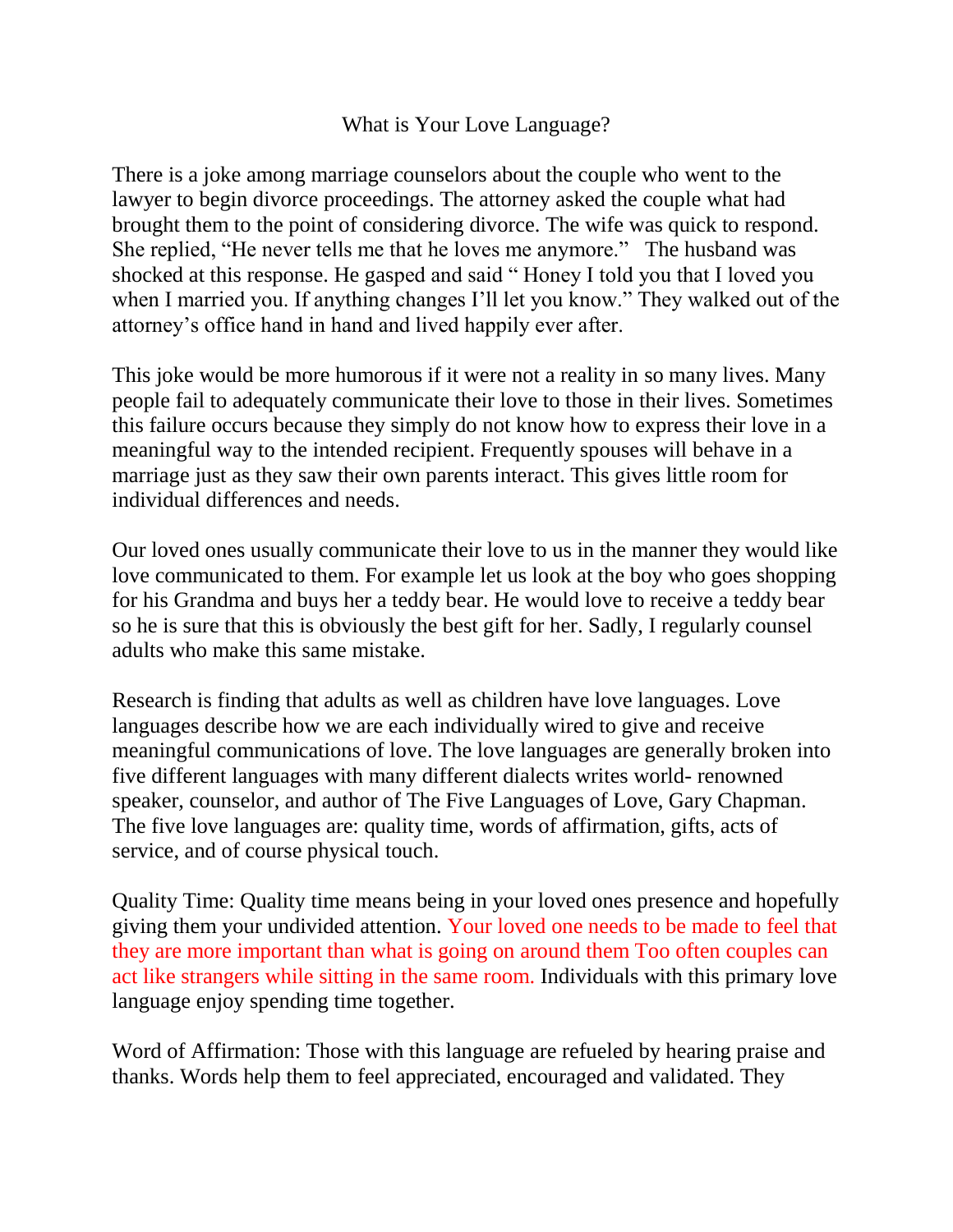## What is Your Love Language?

There is a joke among marriage counselors about the couple who went to the lawyer to begin divorce proceedings. The attorney asked the couple what had brought them to the point of considering divorce. The wife was quick to respond. She replied, "He never tells me that he loves me anymore." The husband was shocked at this response. He gasped and said " Honey I told you that I loved you when I married you. If anything changes I'll let you know." They walked out of the attorney's office hand in hand and lived happily ever after.

This joke would be more humorous if it were not a reality in so many lives. Many people fail to adequately communicate their love to those in their lives. Sometimes this failure occurs because they simply do not know how to express their love in a meaningful way to the intended recipient. Frequently spouses will behave in a marriage just as they saw their own parents interact. This gives little room for individual differences and needs.

Our loved ones usually communicate their love to us in the manner they would like love communicated to them. For example let us look at the boy who goes shopping for his Grandma and buys her a teddy bear. He would love to receive a teddy bear so he is sure that this is obviously the best gift for her. Sadly, I regularly counsel adults who make this same mistake.

Research is finding that adults as well as children have love languages. Love languages describe how we are each individually wired to give and receive meaningful communications of love. The love languages are generally broken into five different languages with many different dialects writes world- renowned speaker, counselor, and author of The Five Languages of Love, Gary Chapman. The five love languages are: quality time, words of affirmation, gifts, acts of service, and of course physical touch.

Quality Time: Quality time means being in your loved ones presence and hopefully giving them your undivided attention. Your loved one needs to be made to feel that they are more important than what is going on around them Too often couples can act like strangers while sitting in the same room. Individuals with this primary love language enjoy spending time together.

Word of Affirmation: Those with this language are refueled by hearing praise and thanks. Words help them to feel appreciated, encouraged and validated. They